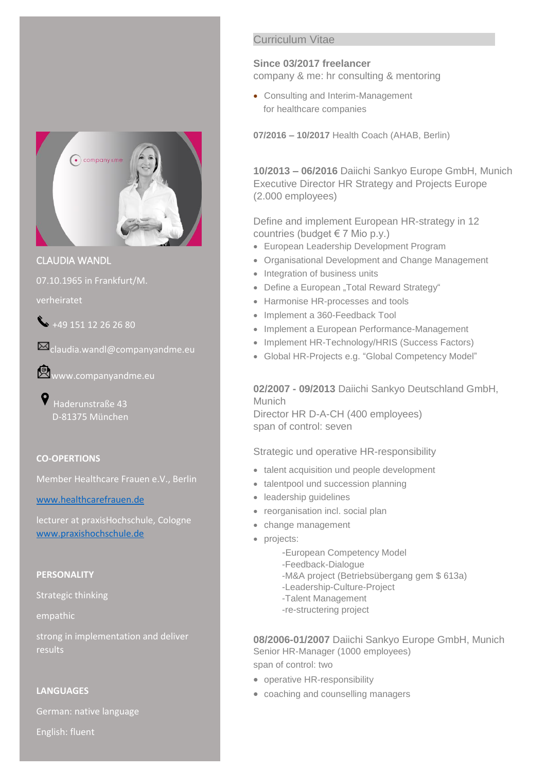

CLAUDIA WANDL

07.10.1965 in Frankfurt/M.

verheiratet

 $\leftarrow$  +49 151 12 26 26 80

claudia.wandl@companyandme.eu

www.companyandme.eu

Haderunstraße 43 D-81375 München

#### **CO-OPERTIONS**

Member Healthcare Frauen e.V., Berlin

[www.healthcarefrauen.de](http://www.healthcarefrauen.de/)

lecturer at praxisHochschule, Cologne [www.praxishochschule.de](http://www.praxishochschule.de/)

## **PERSONALITY**

Strategic thinking

empathic

strong in implementation and deliver results

#### **LANGUAGES**

German: native language

English: fluent

## Curriculum Vitae

# **Since 03/2017 freelancer**

company & me: hr consulting & mentoring

• Consulting and Interim-Management for healthcare companies

**07/2016 – 10/2017** Health Coach (AHAB, Berlin)

**10/2013 – 06/2016** Daiichi Sankyo Europe GmbH, Munich Executive Director HR Strategy and Projects Europe (2.000 employees)

Define and implement European HR-strategy in 12 countries (budget  $\in$  7 Mio p.y.)

- European Leadership Development Program
- Organisational Development and Change Management
- Integration of business units
- Define a European "Total Reward Strategy"
- Harmonise HR-processes and tools
- Implement a 360-Feedback Tool
- Implement a European Performance-Management
- Implement HR-Technology/HRIS (Success Factors)
- Global HR-Projects e.g. "Global Competency Model"

**02/2007 - 09/2013** Daiichi Sankyo Deutschland GmbH, **Munich** 

Director HR D-A-CH (400 employees) span of control: seven

## Strategic und operative HR-responsibility

- talent acquisition und people development
- talentpool und succession planning
- leadership guidelines
- reorganisation incl. social plan
- change management
- projects:
	- -European Competency Model
	- -Feedback-Dialogue
	- -M&A project (Betriebsübergang gem \$ 613a)
	- -Leadership-Culture-Project
	- -Talent Management
	- -re-structering project

**08/2006-01/2007** Daiichi Sankyo Europe GmbH, Munich Senior HR-Manager (1000 employees) span of control: two

- operative HR-responsibility
- coaching and counselling managers